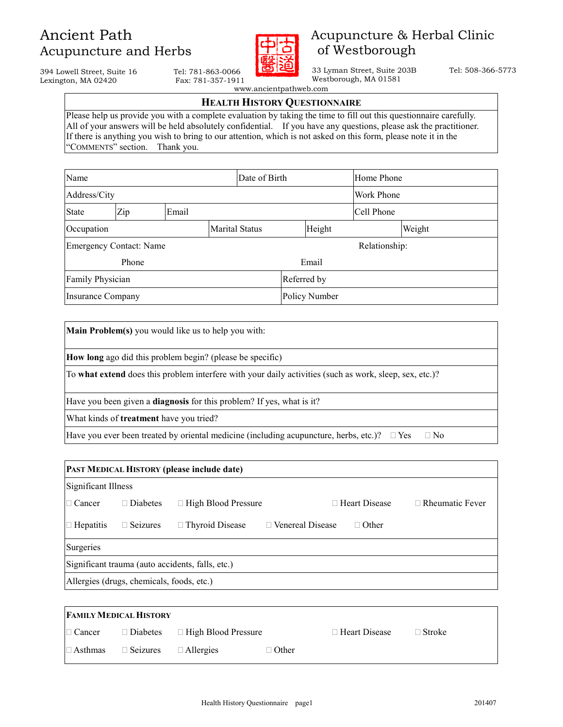

### Acupuncture & Herbal Clinic of Westborough

 33 Lyman Street, Suite 203B Tel: 508-366-5773 Westborough, MA 01581

394 Lowell Street, Suite 16 Tel: 781-863-0066<br>
Lexington, MA 02420 Fax: 781-357-1911 Lexington, MA 02420

www.ancientpathweb.com

### HEALTH HISTORY QUESTIONNAIRE

Please help us provide you with a complete evaluation by taking the time to fill out this questionnaire carefully. All of your answers will be held absolutely confidential. If you have any questions, please ask the practitioner. If there is anything you wish to bring to our attention, which is not asked on this form, please note it in the "COMMENTS" section. Thank you.

| Name                                |              |  | Date of Birth |               | Home Phone |  |        |
|-------------------------------------|--------------|--|---------------|---------------|------------|--|--------|
| Address/City                        |              |  |               | Work Phone    |            |  |        |
| <b>State</b>                        | Zip<br>Email |  |               | Cell Phone    |            |  |        |
| <b>Marital Status</b><br>Occupation |              |  |               |               | Height     |  | Weight |
| <b>Emergency Contact: Name</b>      |              |  | Relationship: |               |            |  |        |
| Phone                               |              |  | Email         |               |            |  |        |
| Family Physician                    |              |  |               | Referred by   |            |  |        |
| <b>Insurance Company</b>            |              |  |               | Policy Number |            |  |        |

Main Problem(s) you would like us to help you with:

How long ago did this problem begin? (please be specific)

To what extend does this problem interfere with your daily activities (such as work, sleep, sex, etc.)?

Have you been given a **diagnosis** for this problem? If yes, what is it?

What kinds of treatment have you tried?

Have you ever been treated by oriental medicine (including acupuncture, herbs, etc.)? Yes No

| <b>PAST MEDICAL HISTORY (please include date)</b> |                                           |                                                  |                  |                      |                        |
|---------------------------------------------------|-------------------------------------------|--------------------------------------------------|------------------|----------------------|------------------------|
| Significant Illness                               |                                           |                                                  |                  |                      |                        |
| Cancer                                            | <b>Diabetes</b>                           | <b>High Blood Pressure</b>                       |                  | <b>Heart Disease</b> | <b>Rheumatic Fever</b> |
| <b>Hepatitis</b>                                  | <b>Seizures</b>                           | <b>Thyroid Disease</b>                           | Venereal Disease | Other                |                        |
| <b>Surgeries</b>                                  |                                           |                                                  |                  |                      |                        |
|                                                   |                                           | Significant trauma (auto accidents, falls, etc.) |                  |                      |                        |
|                                                   | Allergies (drugs, chemicals, foods, etc.) |                                                  |                  |                      |                        |

| <b>FAMILY MEDICAL HISTORY</b> |                 |                     |       |               |               |  |
|-------------------------------|-----------------|---------------------|-------|---------------|---------------|--|
| Cancer                        | <b>Diabetes</b> | High Blood Pressure |       | Heart Disease | <b>Stroke</b> |  |
| Asthmas                       | Seizures        | <i>Allergies</i>    | Other |               |               |  |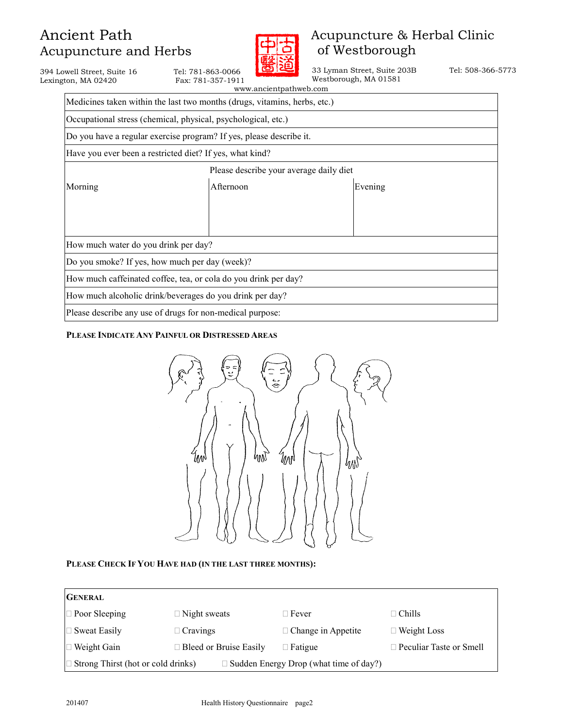Lexington, MA  $02420$ 

394 Lowell Street, Suite 16 Tel: 781-863-0066<br>
Lexington, MA 02420 Fax: 781-357-1911



## Acupuncture & Herbal Clinic of Westborough

 33 Lyman Street, Suite 203B Tel: 508-366-5773 Westborough, MA 01581

|                                      | www.ancientpathweb.com                                                    |         |  |
|--------------------------------------|---------------------------------------------------------------------------|---------|--|
|                                      | Medicines taken within the last two months (drugs, vitamins, herbs, etc.) |         |  |
|                                      | Occupational stress (chemical, physical, psychological, etc.)             |         |  |
|                                      | Do you have a regular exercise program? If yes, please describe it.       |         |  |
|                                      | Have you ever been a restricted diet? If yes, what kind?                  |         |  |
|                                      | Please describe your average daily diet                                   |         |  |
| Morning                              | Afternoon                                                                 | Evening |  |
|                                      |                                                                           |         |  |
|                                      |                                                                           |         |  |
| How much water do you drink per day? |                                                                           |         |  |
|                                      | Do you smoke? If yes, how much per day (week)?                            |         |  |
|                                      | How much caffeinated coffee, tea, or cola do you drink per day?           |         |  |
|                                      | How much alcoholic drink/beverages do you drink per day?                  |         |  |
|                                      | Please describe any use of drugs for non-medical purpose:                 |         |  |

#### PLEASE INDICATE ANY PAINFUL OR DISTRESSED AREAS



#### PLEASE CHECK IF YOU HAVE HAD (IN THE LAST THREE MONTHS):

| <b>GENERAL</b>                     |                        |                                        |                         |  |  |  |
|------------------------------------|------------------------|----------------------------------------|-------------------------|--|--|--|
| Poor Sleeping                      | Night sweats           | Fever                                  | Chills                  |  |  |  |
| Sweat Easily                       | Cravings               | Change in Appetite                     | Weight Loss             |  |  |  |
| Weight Gain                        | Bleed or Bruise Easily | Fatigue                                | Peculiar Taste or Smell |  |  |  |
| Strong Thirst (hot or cold drinks) |                        | Sudden Energy Drop (what time of day?) |                         |  |  |  |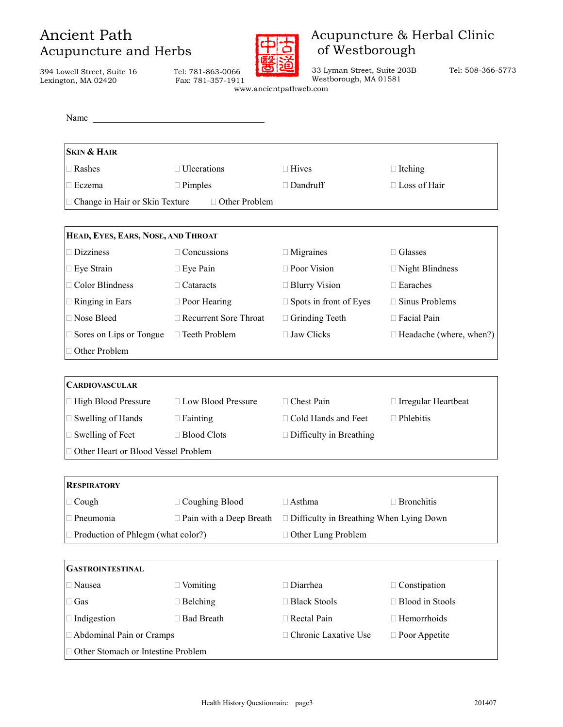394 Lowell Street, Suite 16 Tel: 781-863-0066 Lexington,



### Acupuncture & Herbal Clinic of Westborough

33 Lyman Street, Suite 203B Tel: 508-366-5773

| well Street, Suite To<br>ton, MA 02420                                                                                             | ICI, 101-000-0000<br>Fax: 781-357-1911 | Westborough, MA 01581<br>www.ancientpathweb.com |                         |
|------------------------------------------------------------------------------------------------------------------------------------|----------------------------------------|-------------------------------------------------|-------------------------|
| Name<br><u>and the contract of the contract of the contract of the contract of the contract of the contract of the contract of</u> |                                        |                                                 |                         |
| <b>SKIN &amp; HAIR</b>                                                                                                             |                                        |                                                 |                         |
| Rashes                                                                                                                             | Ulcerations                            | Hives                                           | Itching                 |
| Eczema                                                                                                                             | Pimples                                | Dandruff                                        | Loss of Hair            |
| Change in Hair or Skin Texture                                                                                                     | Other Problem                          |                                                 |                         |
| HEAD, EYES, EARS, NOSE, AND THROAT                                                                                                 |                                        |                                                 |                         |
| <b>Dizziness</b>                                                                                                                   | Concussions                            | Migraines                                       | Glasses                 |
| Eye Strain                                                                                                                         | Eye Pain                               | Poor Vision                                     | <b>Night Blindness</b>  |
| <b>Color Blindness</b>                                                                                                             | Cataracts                              | <b>Blurry Vision</b>                            | Earaches                |
| Ringing in Ears                                                                                                                    | Poor Hearing                           | Spots in front of Eyes                          | Sinus Problems          |
| Nose Bleed                                                                                                                         | <b>Recurrent Sore Throat</b>           | Grinding Teeth                                  | Facial Pain             |
| Sores on Lips or Tongue                                                                                                            | Teeth Problem                          | <b>Jaw Clicks</b>                               | Headache (where, when?) |
| Other Problem                                                                                                                      |                                        |                                                 |                         |
| <b>CARDIOVASCULAR</b>                                                                                                              |                                        |                                                 |                         |
| High Blood Pressure                                                                                                                | Low Blood Pressure                     | Chest Pain                                      | Irregular Heartbeat     |
| Swelling of Hands                                                                                                                  | Fainting                               | Cold Hands and Feet                             | Phlebitis               |
| Swelling of Feet                                                                                                                   | <b>Blood Clots</b>                     | Difficulty in Breathing                         |                         |
| Other Heart or Blood Vessel Problem                                                                                                |                                        |                                                 |                         |
|                                                                                                                                    |                                        |                                                 |                         |
| <b>RESPIRATORY</b>                                                                                                                 |                                        |                                                 |                         |
| Cough                                                                                                                              | Coughing Blood                         | Asthma                                          | <b>Bronchitis</b>       |
| Pneumonia                                                                                                                          | Pain with a Deep Breath                | Difficulty in Breathing When Lying Down         |                         |
| Production of Phlegm (what color?)                                                                                                 |                                        | Other Lung Problem                              |                         |
| <b>GASTROINTESTINAL</b>                                                                                                            |                                        |                                                 |                         |
| Nausea                                                                                                                             | Vomiting                               | Diarrhea                                        | Constipation            |
| Gas                                                                                                                                | Belching                               | <b>Black Stools</b>                             | <b>Blood</b> in Stools  |
| Indigestion                                                                                                                        | <b>Bad Breath</b>                      | Rectal Pain                                     | Hemorrhoids             |
| Abdominal Pain or Cramps                                                                                                           |                                        | Chronic Laxative Use                            | Poor Appetite           |